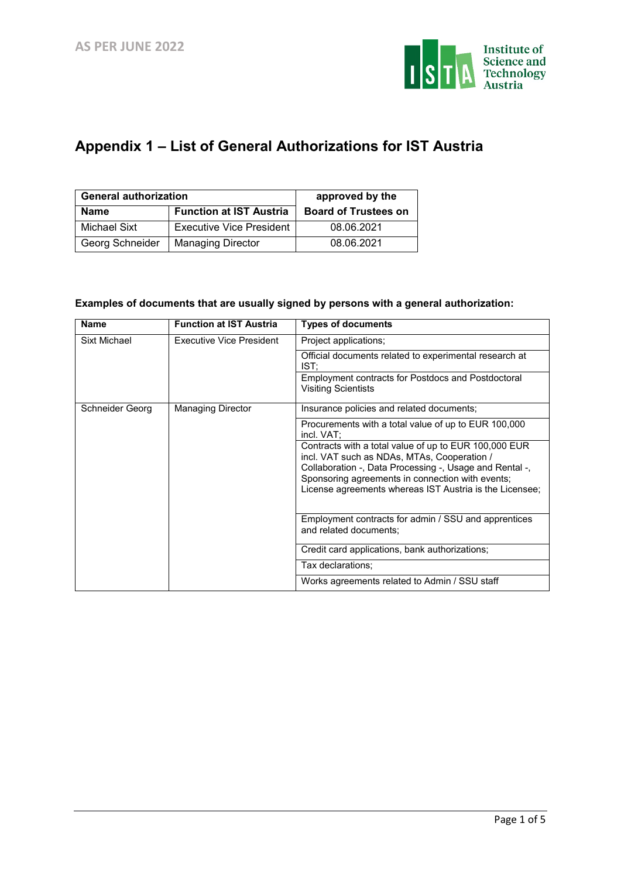

## **Appendix 1 – List of General Authorizations for IST Austria**

| <b>General authorization</b> | approved by the                 |                             |
|------------------------------|---------------------------------|-----------------------------|
| <b>Name</b>                  | <b>Function at IST Austria</b>  | <b>Board of Trustees on</b> |
| Michael Sixt                 | <b>Executive Vice President</b> | 08.06.2021                  |
| Georg Schneider              | <b>Managing Director</b>        | 08.06.2021                  |

## **Examples of documents that are usually signed by persons with a general authorization:**

| <b>Name</b>     | <b>Function at IST Austria</b>  | <b>Types of documents</b>                                                                                                                                                                                                                                                      |
|-----------------|---------------------------------|--------------------------------------------------------------------------------------------------------------------------------------------------------------------------------------------------------------------------------------------------------------------------------|
| Sixt Michael    | <b>Executive Vice President</b> | Project applications;                                                                                                                                                                                                                                                          |
|                 |                                 | Official documents related to experimental research at<br>IST:                                                                                                                                                                                                                 |
|                 |                                 | Employment contracts for Postdocs and Postdoctoral<br><b>Visiting Scientists</b>                                                                                                                                                                                               |
| Schneider Georg | <b>Managing Director</b>        | Insurance policies and related documents;                                                                                                                                                                                                                                      |
|                 |                                 | Procurements with a total value of up to EUR 100,000<br>incl. VAT:                                                                                                                                                                                                             |
|                 |                                 | Contracts with a total value of up to EUR 100,000 EUR<br>incl. VAT such as NDAs, MTAs, Cooperation /<br>Collaboration -, Data Processing -, Usage and Rental -,<br>Sponsoring agreements in connection with events;<br>License agreements whereas IST Austria is the Licensee; |
|                 |                                 | Employment contracts for admin / SSU and apprentices<br>and related documents;                                                                                                                                                                                                 |
|                 |                                 | Credit card applications, bank authorizations;                                                                                                                                                                                                                                 |
|                 |                                 | Tax declarations;                                                                                                                                                                                                                                                              |
|                 |                                 | Works agreements related to Admin / SSU staff                                                                                                                                                                                                                                  |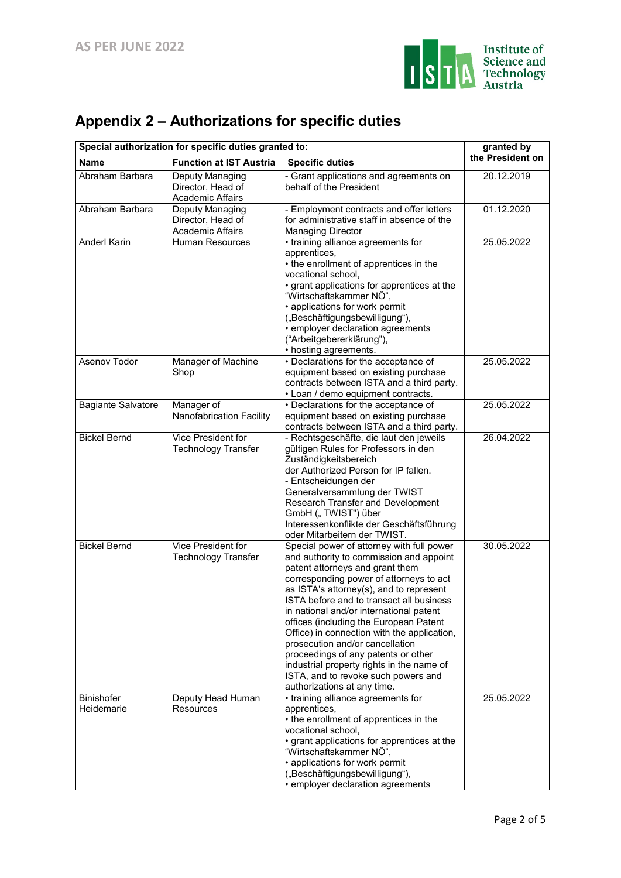

|  | Appendix 2 – Authorizations for specific duties |  |  |
|--|-------------------------------------------------|--|--|
|  |                                                 |  |  |

| Special authorization for specific duties granted to: | granted by                                                      |                                                                                                                                                                                                                                                                                                                                                                                                                                                                                                                                                                                            |                  |  |
|-------------------------------------------------------|-----------------------------------------------------------------|--------------------------------------------------------------------------------------------------------------------------------------------------------------------------------------------------------------------------------------------------------------------------------------------------------------------------------------------------------------------------------------------------------------------------------------------------------------------------------------------------------------------------------------------------------------------------------------------|------------------|--|
| <b>Name</b>                                           | <b>Function at IST Austria</b>                                  | <b>Specific duties</b>                                                                                                                                                                                                                                                                                                                                                                                                                                                                                                                                                                     | the President on |  |
| Abraham Barbara                                       | Deputy Managing<br>Director, Head of<br><b>Academic Affairs</b> | - Grant applications and agreements on<br>behalf of the President                                                                                                                                                                                                                                                                                                                                                                                                                                                                                                                          | 20.12.2019       |  |
| Abraham Barbara                                       | Deputy Managing<br>Director, Head of<br><b>Academic Affairs</b> | - Employment contracts and offer letters<br>for administrative staff in absence of the<br><b>Managing Director</b>                                                                                                                                                                                                                                                                                                                                                                                                                                                                         | 01.12.2020       |  |
| <b>Anderl Karin</b>                                   | <b>Human Resources</b>                                          | • training alliance agreements for<br>apprentices,<br>• the enrollment of apprentices in the<br>vocational school,<br>• grant applications for apprentices at the<br>"Wirtschaftskammer NÖ",<br>• applications for work permit<br>("Beschäftigungsbewilligung"),<br>• employer declaration agreements<br>("Arbeitgebererklärung"),<br>• hosting agreements.                                                                                                                                                                                                                                | 25.05.2022       |  |
| Asenov Todor                                          | Manager of Machine<br>Shop                                      | • Declarations for the acceptance of<br>equipment based on existing purchase<br>contracts between ISTA and a third party.<br>• Loan / demo equipment contracts.                                                                                                                                                                                                                                                                                                                                                                                                                            | 25.05.2022       |  |
| <b>Bagiante Salvatore</b>                             | Manager of<br>Nanofabrication Facility                          | • Declarations for the acceptance of<br>equipment based on existing purchase<br>contracts between ISTA and a third party.                                                                                                                                                                                                                                                                                                                                                                                                                                                                  | 25.05.2022       |  |
| <b>Bickel Bernd</b>                                   | <b>Vice President for</b><br><b>Technology Transfer</b>         | - Rechtsgeschäfte, die laut den jeweils<br>gültigen Rules for Professors in den<br>Zuständigkeitsbereich<br>der Authorized Person for IP fallen.<br>- Entscheidungen der<br>Generalversammlung der TWIST<br>Research Transfer and Development<br>GmbH ("TWIST") über<br>Interessenkonflikte der Geschäftsführung<br>oder Mitarbeitern der TWIST.                                                                                                                                                                                                                                           | 26.04.2022       |  |
| <b>Bickel Bernd</b>                                   | Vice President for<br><b>Technology Transfer</b>                | Special power of attorney with full power<br>and authority to commission and appoint<br>patent attorneys and grant them<br>corresponding power of attorneys to act<br>as ISTA's attorney(s), and to represent<br>ISTA before and to transact all business<br>in national and/or international patent<br>offices (including the European Patent<br>Office) in connection with the application,<br>prosecution and/or cancellation<br>proceedings of any patents or other<br>industrial property rights in the name of<br>ISTA, and to revoke such powers and<br>authorizations at any time. | 30.05.2022       |  |
| Binishofer<br>Heidemarie                              | Deputy Head Human<br>Resources                                  | • training alliance agreements for<br>apprentices,<br>• the enrollment of apprentices in the<br>vocational school,<br>• grant applications for apprentices at the<br>"Wirtschaftskammer NÖ",<br>• applications for work permit<br>("Beschäftigungsbewilligung"),<br>· employer declaration agreements                                                                                                                                                                                                                                                                                      | 25.05.2022       |  |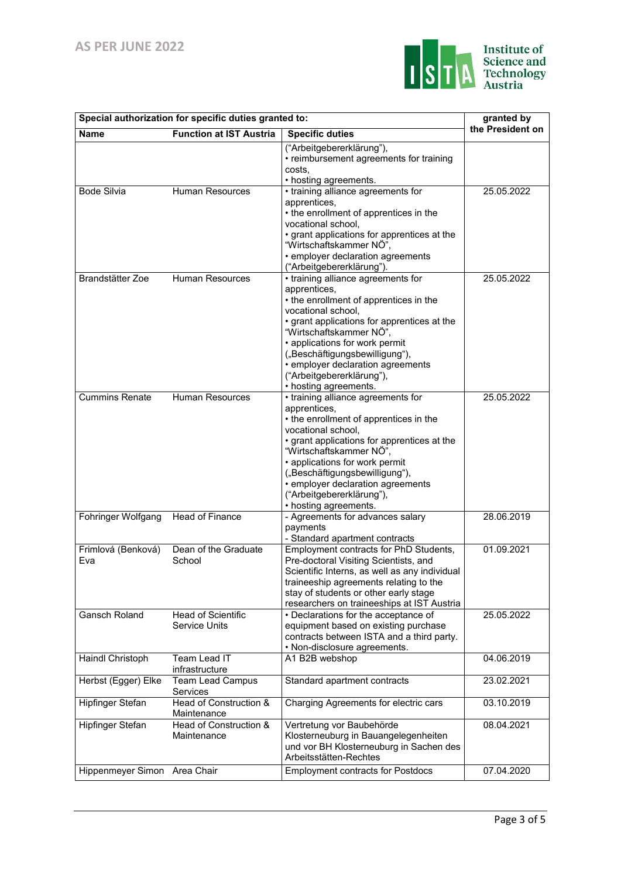

| Special authorization for specific duties granted to: | granted by                                 |                                                                                                                                                                                                                                                                                                                                                                                          |                  |
|-------------------------------------------------------|--------------------------------------------|------------------------------------------------------------------------------------------------------------------------------------------------------------------------------------------------------------------------------------------------------------------------------------------------------------------------------------------------------------------------------------------|------------------|
| <b>Name</b>                                           | <b>Function at IST Austria</b>             | <b>Specific duties</b>                                                                                                                                                                                                                                                                                                                                                                   | the President on |
|                                                       |                                            | ("Arbeitgebererklärung"),<br>• reimbursement agreements for training<br>costs,<br>• hosting agreements.                                                                                                                                                                                                                                                                                  |                  |
| <b>Bode Silvia</b>                                    | <b>Human Resources</b>                     | • training alliance agreements for<br>apprentices,<br>• the enrollment of apprentices in the<br>vocational school,<br>• grant applications for apprentices at the<br>"Wirtschaftskammer NÖ",<br>• employer declaration agreements                                                                                                                                                        | 25.05.2022       |
| Brandstätter Zoe                                      | <b>Human Resources</b>                     | ("Arbeitgebererklärung").<br>• training alliance agreements for<br>apprentices,<br>• the enrollment of apprentices in the<br>vocational school,<br>• grant applications for apprentices at the<br>"Wirtschaftskammer NÖ",<br>• applications for work permit<br>("Beschäftigungsbewilligung"),<br>• employer declaration agreements<br>("Arbeitgebererklärung"),<br>• hosting agreements. | 25.05.2022       |
| <b>Cummins Renate</b>                                 | Human Resources                            | • training alliance agreements for<br>apprentices,<br>• the enrollment of apprentices in the<br>vocational school,<br>• grant applications for apprentices at the<br>"Wirtschaftskammer NÖ",<br>• applications for work permit<br>("Beschäftigungsbewilligung"),<br>• employer declaration agreements<br>("Arbeitgebererklärung"),<br>• hosting agreements.                              | 25.05.2022       |
| Fohringer Wolfgang                                    | Head of Finance                            | - Agreements for advances salary<br>payments<br>- Standard apartment contracts                                                                                                                                                                                                                                                                                                           | 28.06.2019       |
| Frimlová (Benková)<br>Eva                             | Dean of the Graduate<br>School             | Employment contracts for PhD Students,<br>Pre-doctoral Visiting Scientists, and<br>Scientific Interns, as well as any individual<br>traineeship agreements relating to the<br>stay of students or other early stage<br>researchers on traineeships at IST Austria                                                                                                                        | 01.09.2021       |
| Gansch Roland                                         | Head of Scientific<br><b>Service Units</b> | • Declarations for the acceptance of<br>equipment based on existing purchase<br>contracts between ISTA and a third party.<br>• Non-disclosure agreements.                                                                                                                                                                                                                                | 25.05.2022       |
| Haindl Christoph                                      | Team Lead IT<br>infrastructure             | A1 B2B webshop                                                                                                                                                                                                                                                                                                                                                                           | 04.06.2019       |
| Herbst (Egger) Elke                                   | <b>Team Lead Campus</b><br>Services        | Standard apartment contracts                                                                                                                                                                                                                                                                                                                                                             | 23.02.2021       |
| Hipfinger Stefan                                      | Head of Construction &<br>Maintenance      | Charging Agreements for electric cars                                                                                                                                                                                                                                                                                                                                                    | 03.10.2019       |
| Hipfinger Stefan                                      | Head of Construction &<br>Maintenance      | Vertretung vor Baubehörde<br>Klosterneuburg in Bauangelegenheiten<br>und vor BH Klosterneuburg in Sachen des<br>Arbeitsstätten-Rechtes                                                                                                                                                                                                                                                   | 08.04.2021       |
| Hippenmeyer Simon Area Chair                          |                                            | <b>Employment contracts for Postdocs</b>                                                                                                                                                                                                                                                                                                                                                 | 07.04.2020       |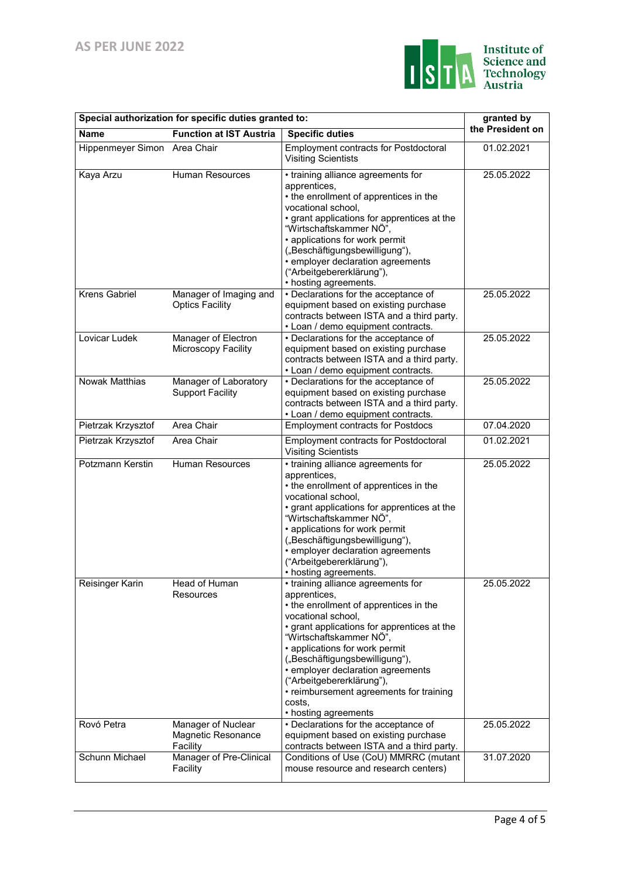

| Special authorization for specific duties granted to: | granted by                                           |                                                                                                                                                                                                                                                                                                                                                                                                                 |                  |
|-------------------------------------------------------|------------------------------------------------------|-----------------------------------------------------------------------------------------------------------------------------------------------------------------------------------------------------------------------------------------------------------------------------------------------------------------------------------------------------------------------------------------------------------------|------------------|
| <b>Name</b>                                           | <b>Function at IST Austria</b>                       | <b>Specific duties</b>                                                                                                                                                                                                                                                                                                                                                                                          | the President on |
| Hippenmeyer Simon Area Chair                          |                                                      | Employment contracts for Postdoctoral<br><b>Visiting Scientists</b>                                                                                                                                                                                                                                                                                                                                             | 01.02.2021       |
| Kaya Arzu                                             | <b>Human Resources</b>                               | • training alliance agreements for<br>apprentices.<br>• the enrollment of apprentices in the<br>vocational school,<br>• grant applications for apprentices at the<br>"Wirtschaftskammer NÖ",<br>• applications for work permit<br>("Beschäftigungsbewilligung"),<br>• employer declaration agreements<br>("Arbeitgebererklärung"),<br>• hosting agreements.                                                     | 25.05.2022       |
| <b>Krens Gabriel</b>                                  | Manager of Imaging and<br><b>Optics Facility</b>     | • Declarations for the acceptance of<br>equipment based on existing purchase<br>contracts between ISTA and a third party.<br>• Loan / demo equipment contracts.                                                                                                                                                                                                                                                 | 25.05.2022       |
| Lovicar Ludek                                         | Manager of Electron<br>Microscopy Facility           | • Declarations for the acceptance of<br>equipment based on existing purchase<br>contracts between ISTA and a third party.<br>• Loan / demo equipment contracts.                                                                                                                                                                                                                                                 | 25.05.2022       |
| <b>Nowak Matthias</b>                                 | Manager of Laboratory<br><b>Support Facility</b>     | • Declarations for the acceptance of<br>equipment based on existing purchase<br>contracts between ISTA and a third party.<br>• Loan / demo equipment contracts.                                                                                                                                                                                                                                                 | 25.05.2022       |
| Pietrzak Krzysztof                                    | Area Chair                                           | <b>Employment contracts for Postdocs</b>                                                                                                                                                                                                                                                                                                                                                                        | 07.04.2020       |
| Pietrzak Krzysztof                                    | Area Chair                                           | <b>Employment contracts for Postdoctoral</b><br><b>Visiting Scientists</b>                                                                                                                                                                                                                                                                                                                                      | 01.02.2021       |
| Potzmann Kerstin                                      | Human Resources                                      | • training alliance agreements for<br>apprentices,<br>• the enrollment of apprentices in the<br>vocational school,<br>• grant applications for apprentices at the<br>"Wirtschaftskammer NÖ",<br>• applications for work permit<br>("Beschäftigungsbewilligung"),<br>· employer declaration agreements<br>("Arbeitgebererklärung"),<br>• hosting agreements.                                                     | 25.05.2022       |
| Reisinger Karin                                       | Head of Human<br>Resources                           | • training alliance agreements for<br>apprentices,<br>• the enrollment of apprentices in the<br>vocational school,<br>• grant applications for apprentices at the<br>"Wirtschaftskammer NÖ",<br>• applications for work permit<br>("Beschäftigungsbewilligung"),<br>• employer declaration agreements<br>("Arbeitgebererklärung"),<br>• reimbursement agreements for training<br>costs,<br>• hosting agreements | 25.05.2022       |
| Rovó Petra                                            | Manager of Nuclear<br>Magnetic Resonance<br>Facility | • Declarations for the acceptance of<br>equipment based on existing purchase<br>contracts between ISTA and a third party.                                                                                                                                                                                                                                                                                       | 25.05.2022       |
| Schunn Michael                                        | Manager of Pre-Clinical<br>Facility                  | Conditions of Use (CoU) MMRRC (mutant<br>mouse resource and research centers)                                                                                                                                                                                                                                                                                                                                   | 31.07.2020       |